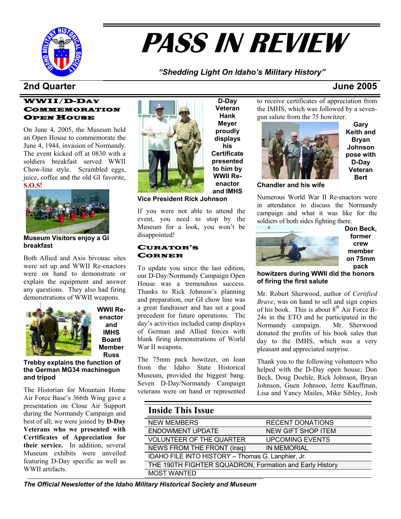

# **PASS IN REVIEW**

### *"Shedding Light On Idaho's Military History"*

### **2nd Quarter June 2005**

#### WWII/D-DAY COMMEMORATION OPEN HOUSE

On June 4, 2005, the Museum held an Open House to commemorate the June 4, 1944, invasion of Normandy. The event kicked off at 0830 with a soldiers breakfast served WWII Chow-line style. Scrambled eggs, juice, coffee and the old GI favorite, **S.O.S!**



**Museum Visitors enjoy a GI breakfast**

Both Allied and Axis bivouac sites were set up and WWII Re-enactors were on hand to demonstrate or explain the equipment and answer any questions. They also had firing demonstrations of WWII weapons.



**WWII Reenactor and IMHS Board Member Russ** 

**Trebby explains the function of the German MG34 machinegun and tripod**

The Historian for Mountain Home Air Force Base's 366th Wing gave a presentation on Close Air Support during the Normandy Campaign and best of all; we were joined by **D-Day Veterans who we presented with Certificates of Appreciation for their service.** In addition, several Museum exhibits were unveiled featuring D-Day specific as well as WWII artifacts.



**proudly displays his Certificate presented to him by WWII Reenactor and IMHS** 

**D-Day Veteran Hank Meyer** 

**Vice President Rick Johnson** 

If you were not able to attend the event, you need to stop by the Museum for a look, you won't be disappointed!

#### CURATOR'S CORNER

To update you since the last edition, our D-Day/Normandy Campaign Open House was a tremendous success. Thanks to Rick Johnson's planning and preparation, our GI chow line was a great fundraiser and has set a good precedent for future operations. The day's activities included camp displays of German and Allied forces with blank firing demonstrations of World War II weapons.

The 75mm pack howitzer, on loan from the Idaho State Historical Museum, provided the biggest bang. Seven D-Day/Normandy Campaign veterans were on hand or represented

to receive certificates of appreciation from the IMHS, which was followed by a sevengun salute from the 75 howitzer.



**Gary Keith and Bryan Johnson pose with D-Day Veteran Bert** 

**Chandler and his wife** 

Numerous World War II Re-enactors were in attendance to discuss the Normandy campaign and what it was like for the soldiers of both sides fighting there.



**Don Beck, former crew member on 75mm pack** 

**howitzers during WWII did the honors of firing the first salute** 

Mr. Robert Sherwood, author of *Certified Brave*, was on hand to sell and sign copies of his book. This is about  $8<sup>th</sup>$  Air Force B-24s in the ETO and he participated in the Normandy campaign. Mr. Sherwood donated the profits of his book sales that day to the IMHS, which was a very pleasant and appreciated surprise.

Thank you to the following volunteers who helped with the D-Day open house; Don Beck, Doug Doehle, Rick Johnson, Bryan Johnson, Guen Johnson, Jerre Kauffman, Lisa and Yancy Mailes, Mike Sibley, Josh

| <b>Inside This Issue</b>                                |                           |
|---------------------------------------------------------|---------------------------|
| <b>NEW MEMBERS</b>                                      | <b>RECENT DONATIONS</b>   |
| <b>ENDOWMENT UPDATE</b>                                 | <b>NEW GIFT SHOP ITEM</b> |
| <b>VOLUNTEER OF THE QUARTER</b>                         | <b>UPCOMING EVENTS</b>    |
| NEWS FROM THE FRONT (Iraq)                              | <b>IN MEMORIAL</b>        |
| IDAHO FILE INTO HISTORY - Thomas G. Lanphier, Jr.       |                           |
| THE 190TH FIGHTER SQUADRON, Formation and Early History |                           |
| <b>MOST WANTED</b>                                      |                           |

*The Official Newsletter of the Idaho Military Historical Society and Museum*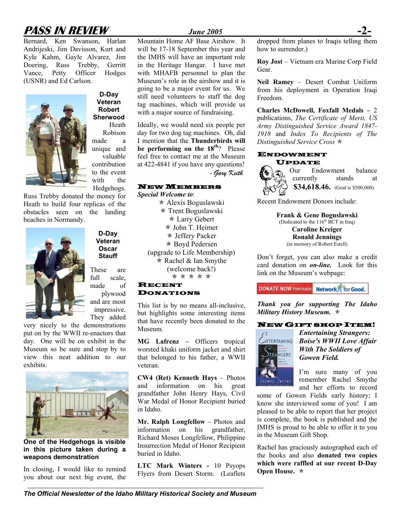# **PASS IN REVIEW** *June 2005*

Bernard, Ken Swanson, Harlan Andrijeski, Jim Davisson, Kurt and Kyle Kahm, Gayle Alvarez, Jim Doering, Russ Trebby, Gerritt Vance, Petty Officer Hodges (USNR) and Ed Carlson.



**D-Day Veteran Robert Sherwood** Heath Robison made a unique and valuable contribution

to the event with the Hedgehogs.

Russ Trebby donated the money for Heath to build four replicas of the obstacles seen on the landing beaches in Normandy.



**Veteran Oscar Stauff**  These are

**D-Day**

full scale, made of plywood and are most impressive. They added

very nicely to the demonstrations put on by the WWII re-enactors that day. One will be on exhibit in the Museum so be sure and stop by to view this neat addition to our exhibits.



**One of the Hedgehogs is visible in this picture taken during a weapons demonstration**

In closing, I would like to remind you about our next big event, the

Mountain Home AF Base Airshow. It will be 17-18 September this year and the IMHS will have an important role in the Heritage Hangar. I have met with MHAFB personnel to plan the Museum's role in the airshow and it is going to be a major event for us. We still need volunteers to staff the dog tag machines, which will provide us with a major source of fundraising.

Ideally, we would need six people per day for two dog tag machines. Oh, did I mention that the **Thunderbirds will be performing on the 18th**? Please feel free to contact me at the Museum at 422-4841 if you have any questions! - *Gary Keith* 

#### NEW MEMBERS

*Special Welcome to*:  $\star$  Alexis Boguslawski  $*$  Trent Boguslawski \* Larry Gebert \* John T. Heimer  $\star$  Jeffery Packer  $*$  Boyd Pedersen (upgrade to Life Membership)  $*$  Rachel & Ian Smythe (welcome back!) \* \* \* \* \*

#### RECENT DONATIONS

This list is by no means all-inclusive, but highlights some interesting items that have recently been donated to the Museum.

**MG Lafrenz –** Officers tropical worsted khaki uniform jacket and shirt that belonged to his father, a WWII veteran.

**CW4 (Ret) Kenneth Hays** – Photos and information on his great grandfather John Henry Hays, Civil War Medal of Honor Recipient buried in Idaho.

**Mr. Ralph Longfellow** – Photos and information on his grandfather, Richard Moses Longfellow, Philippine Insurrection Medal of Honor Recipient buried in Idaho.

**LTC Mark Winters -** 10 Psyops Flyers from Desert Storm. (Leaflets

dropped from planes to Iraqis telling them how to surrender.)

**Roy Jost** – Vietnam era Marine Corp Field Gear.

**Neil Ramey** – Desert Combat Uniform from his deployment in Operation Iraqi Freedom.

**Charles McDowell, Foxfall Medals –** 2 publications, *The Certificate of Merit, US Army Distinguished Service Award 1847- 1918* and *Index To Recipients of The Distinguished Service Cross*  $★$ 

#### ENDOWMENT UPDATE

Our Endowment balance currently stands at **\$34,618.46.** (Goal is \$500,000)

Recent Endowment Donors include:

**Frank & Gene Boguslawski**  (Dedicated to the  $116<sup>th</sup>$  BCT in Iraq) **Caroline Kreiger Ronald Jennings**  (in memory of Robert Estell)

Don't forget, you can also make a credit card donation on *on-line.* Look for this link on the Museum's webpage:



*Thank you for supporting The Idaho Military History Museum.*  $\ast$ 

#### NEW GIFT SHOP ITEM!



*Entertaining Strangers: Boise's WWII Love Affair With The Soldiers of Gowen Field.* 

I'm sure many of you remember Rachel Smythe and her efforts to record

some of Gowen Fields early history; I know she interviewed some of you! I am pleased to be able to report that her project is complete, the book is published and the IMHS is proud to be able to offer it to you in the Museum Gift Shop.

Rachel has graciously autographed each of the books and also **donated two copies which were raffled at our recent D-Day**  Open House.  $\ast$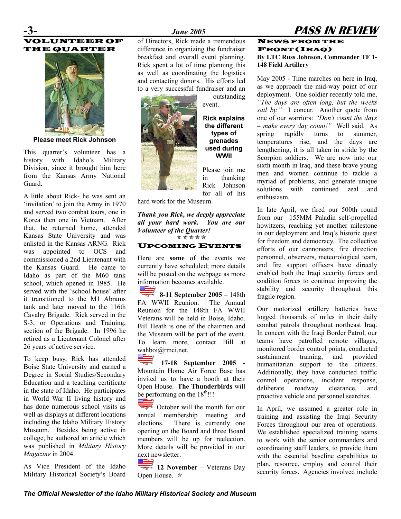# VOLUNTEER OF THE QUARTER



**Please meet Rick Johnson** 

This quarter's volunteer has a history with Idaho's Military Division, since it brought him here from the Kansas Army National Guard.

A little about Rick- he was sent an 'invitation' to join the Army in 1970 and served two combat tours, one in Korea then one in Vietnam. After that, he returned home, attended Kansas State University and was enlisted in the Kansas ARNG. Rick was appointed to OCS and commissioned a 2nd Lieutenant with the Kansas Guard. He came to Idaho as part of the M60 tank school, which opened in 1985. He served with the 'school house' after it transitioned to the M1 Abrams tank and later moved to the 116th Cavalry Brigade. Rick served in the S-3, or Operations and Training, section of the Brigade. In 1996 he retired as a Lieutenant Colonel after 26 years of active service.

To keep busy, Rick has attended Boise State University and earned a Degree in Social Studies/Secondary Education and a teaching certificate in the state of Idaho. He participates in World War II living history and has done numerous school visits as well as displays at different locations including the Idaho Military History Museum. Besides being active in college, he authored an article which was published in *Military History Magazine* in 2004.

As Vice President of the Idaho Military Historical Society's Board

### **-3-** *June 2005* **PASS IN REVIEW**

of Directors, Rick made a tremendous difference in organizing the fundraiser breakfast and overall event planning. Rick spent a lot of time planning this as well as coordinating the logistics and contacting donors. His efforts led to a very successful fundraiser and an



outstanding event.

**Rick explains the different types of grenades used during WWII** 

Please join me in thanking Rick Johnson for all of his

hard work for the Museum.

#### *Thank you Rick, we deeply appreciate all your hard work. You are our Volunteer of the Quarter!*   $* * * * * *$

#### UPCOMING EVENTS

Here are **some** of the events we currently have scheduled; more details will be posted on the webpage as more information becomes available.

**8-11 September 2005** – 148th FA WWII Reunion. The Annual Reunion for the 148th FA WWII Veterans will be held in Boise, Idaho. Bill Heath is one of the chairmen and the Museum will be part of the event. To learn more, contact Bill at [wahboi@rmci.net](mailto:wahboi@rmci.net).

**17-18 September 2005 -** Mountain Home Air Force Base has invited us to have a booth at their Open House. **The Thunderbirds** will be performing on the  $18^{th}$ !!!

 $\overline{\phantom{a}}$  October will the month for our annual membership meeting and elections. There is currently one opening on the Board and three Board members will be up for reelection. More details will be provided in our next newsletter.

Open House.  $\star$ 

### NEWS FROM THE FRONT (IRAQ) **By LTC Russ Johnson, Commander TF 1- 148 Field Artillery**

May 2005 - Time marches on here in Iraq, as we approach the mid-way point of our deployment. One soldier recently told me, *"The days are often long, but the weeks sail by."* I concur. Another quote from one of our warriors: *"Don't count the days – make every day count!"* Well said. As spring rapidly turns to summer, temperatures rise, and the days are lengthening, it is all taken in stride by the Scorpion soldiers. We are now into our sixth month in Iraq, and these brave young men and women continue to tackle a myriad of problems, and generate unique solutions with continued zeal and enthusiasm.

In late April, we fired our 500th round from our 155MM Paladin self-propelled howitzers, reaching yet another milestone in our deployment and Iraq's historic quest for freedom and democracy. The collective efforts of our cannoneers, fire direction personnel, observers, meteorological team, and fire support officers have directly enabled both the Iraqi security forces and coalition forces to continue improving the stability and security throughout this fragile region.

Our motorized artillery batteries have logged thousands of miles in their daily combat patrols throughout northeast Iraq. In concert with the Iraqi Border Patrol, our teams have patrolled remote villages, monitored border control points, conducted sustainment training, and provided humanitarian support to the citizens. Additionally, they have conducted traffic control operations, incident response, deliberate roadway clearance, and proactive vehicle and personnel searches.

In April, we assumed a greater role in training and assisting the Iraqi Security Forces throughout our area of operations. We established specialized training teams to work with the senior commanders and coordinating staff leaders, to provide them with the essential baseline capabilities to plan, resource, employ and control their **Security forces.** Agencies involved include<br>and **12 November** – Veterans Day plan, resource, employ and control their

*The Official Newsletter of the Idaho Military Historical Society and Museum*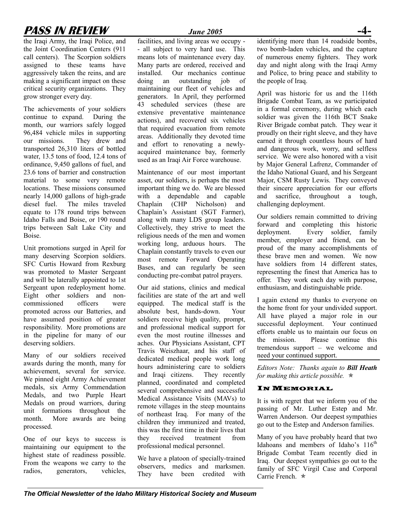# **PASS IN REVIEW** *June 2005*

the Iraqi Army, the Iraqi Police, and the Joint Coordination Centers (911 call centers). The Scorpion soldiers assigned to these teams have aggressively taken the reins, and are making a significant impact on these critical security organizations. They grow stronger every day.

The achievements of your soldiers continue to expand. During the month, our warriors safely logged 96,484 vehicle miles in supporting our missions. They drew and transported 26,310 liters of bottled water, 13.5 tons of food, 12.4 tons of ordinance, 9,450 gallons of fuel, and 23.6 tons of barrier and construction material to some very remote locations. These missions consumed nearly 14,000 gallons of high-grade diesel fuel. The miles traveled equate to 178 round trips between Idaho Falls and Boise, or 190 round trips between Salt Lake City and Boise.

Unit promotions surged in April for many deserving Scorpion soldiers. SFC Curtis Howard from Rexburg was promoted to Master Sergeant and will be laterally appointed to 1st Sergeant upon redeployment home. Eight other soldiers and noncommissioned officers were promoted across our Batteries, and have assumed position of greater responsibility. More promotions are in the pipeline for many of our deserving soldiers.

Many of our soldiers received awards during the month, many for achievement, several for service. We pinned eight Army Achievement medals, six Army Commendation Medals, and two Purple Heart Medals on proud warriors, during unit formations throughout the month. More awards are being processed.

One of our keys to success is maintaining our equipment to the highest state of readiness possible. From the weapons we carry to the radios, generators, vehicles,

facilities, and living areas we occupy - - all subject to very hard use. This means lots of maintenance every day. Many parts are ordered, received and installed. Our mechanics continue doing an outstanding job of maintaining our fleet of vehicles and generators. In April, they performed 43 scheduled services (these are extensive preventative maintenance actions), and recovered six vehicles that required evacuation from remote areas. Additionally they devoted time and effort to renovating a newlyacquired maintenance bay, formerly used as an Iraqi Air Force warehouse.

Maintenance of our most important asset, our soldiers, is perhaps the most important thing we do. We are blessed with a dependable and capable Chaplain (CHP Nicholson) and Chaplain's Assistant (SGT Farmer), along with many LDS group leaders. Collectively, they strive to meet the religious needs of the men and women working long, arduous hours. The Chaplain constantly travels to even our most remote Forward Operating Bases, and can regularly be seen conducting pre-combat patrol prayers.

Our aid stations, clinics and medical facilities are state of the art and well equipped. The medical staff is the absolute best, hands-down. Your soldiers receive high quality, prompt, and professional medical support for even the most routine illnesses and aches. Our Physicians Assistant, CPT Travis Weiszhaar, and his staff of dedicated medical people work long hours administering care to soldiers and Iraqi citizens. They recently planned, coordinated and completed several comprehensive and successful Medical Assistance Visits (MAVs) to remote villages in the steep mountains of northeast Iraq. For many of the children they immunized and treated, this was the first time in their lives that they received treatment from professional medical personnel.

We have a platoon of specially-trained observers, medics and marksmen. They have been credited with

identifying more than 14 roadside bombs, two bomb-laden vehicles, and the capture of numerous enemy fighters. They work day and night along with the Iraqi Army and Police, to bring peace and stability to the people of Iraq.

April was historic for us and the 116th Brigade Combat Team, as we participated in a formal ceremony, during which each soldier was given the 116th BCT Snake River Brigade combat patch. They wear it proudly on their right sleeve, and they have earned it through countless hours of hard and dangerous work, worry, and selfless service. We were also honored with a visit by Major General Lafrenz, Commander of the Idaho National Guard, and his Sergeant Major, CSM Rusty Lewis. They conveyed their sincere appreciation for our efforts and sacrifice, throughout a tough, challenging deployment.

Our soldiers remain committed to driving forward and completing this historic deployment. Every soldier, family member, employer and friend, can be proud of the many accomplishments of these brave men and women. We now have soldiers from 14 different states, representing the finest that America has to offer. They work each day with purpose, enthusiasm, and distinguishable pride.

I again extend my thanks to everyone on the home front for your undivided support. All have played a major role in our successful deployment. Your continued efforts enable us to maintain our focus on the mission. Please continue this tremendous support – we welcome and need your continued support.

*Editors Note: Thanks again to Bill Heath for making this article possible.* Õ

### IN MEMORIAL

It is with regret that we inform you of the passing of Mr. Luther Estep and Mr. Warren Anderson. Our deepest sympathies go out to the Estep and Anderson families.

Many of you have probably heard that two Idahoans and members of Idaho's  $116<sup>th</sup>$ Brigade Combat Team recently died in Iraq. Our deepest sympathies go out to the family of SFC Virgil Case and Corporal Carrie French  $\ast$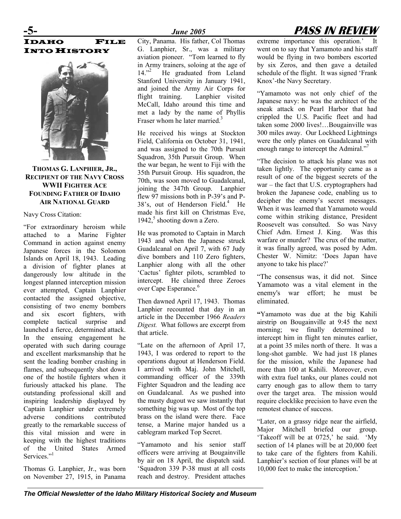

### **THOMAS G. LANPHIER, JR., RECIPIENT OF THE NAVY CROSS WWII FIGHTER ACE FOUNDING FATHER OF IDAHO AIR NATIONAL GUARD**

#### Navy Cross Citation:

"For extraordinary heroism while attached to a Marine Fighter Command in action against enemy Japanese forces in the Solomon Islands on April 18, 1943. Leading a division of fighter planes at dangerously low altitude in the longest planned interception mission ever attempted, Captain Lanphier contacted the assigned objective, consisting of two enemy bombers and six escort fighters, with complete tactical surprise and launched a fierce, determined attack. In the ensuing engagement he operated with such daring courage and excellent marksmanship that he sent the leading bomber crashing in flames, and subsequently shot down one of the hostile fighters when it furiously attacked his plane. The outstanding professional skill and inspiring leadership displayed by Captain Lanphier under extremely adverse conditions contributed greatly to the remarkable success of this vital mission and were in keeping with the highest traditions of the United States Armed Services."<sup>[1](#page--1-0)</sup>

Thomas G. Lanphier, Jr., was born on November 27, 1915, in Panama

City, Panama. His father, Col Thomas G. Lanphier, Sr., was a military aviation pioneer. "Tom learned to fly in Army trainers, soloing at the age of 14."<sup>[2](#page--1-1)</sup> He graduated from Leland Stanford University in January 1941, and joined the Army Air Corps for flight training. Lanphier visited McCall, Idaho around this time and met a lady by the name of Phyllis Fraser whom he later married.<sup>[3](#page--1-2)</sup>

He received his wings at Stockton Field, California on October 31, 1941, and was assigned to the 70th Pursuit Squadron, 35th Pursuit Group. When the war began, he went to Fiji with the 35th Pursuit Group. His squadron, the 70th, was soon moved to Guadalcanal, joining the 347th Group. Lanphier flew 97 missions both in P-39's and P-38's, out of Henderson Field.<sup>4</sup> He made his first kill on Christmas Eve, 1942, $5$  shooting down a Zero.

He was promoted to Captain in March 1943 and when the Japanese struck Guadalcanal on April 7, with 67 Judy dive bombers and 110 Zero fighters, Lanphier along with all the other 'Cactus' fighter pilots, scrambled to intercept. He claimed three Zeroes over Cape Esperance. [6](#page--1-5)

Then dawned April 17, 1943. Thomas Lanphier recounted that day in an article in the December 1966 *Readers Digest.* What follows are excerpt from that article.

"Late on the afternoon of April 17, 1943, I was ordered to report to the operations dugout at Henderson Field. I arrived with Maj. John Mitchell, commanding officer of the 339th Fighter Squadron and the leading ace on Guadalcanal. As we pushed into the musty dugout we saw instantly that something big was up. Most of the top brass on the island were there. Face tense, a Marine major handed us a cablegram marked Top Secret.

"Yamamoto and his senior staff officers were arriving at Bougainville by air on 18 April, the dispatch said. 'Squadron 339 P-38 must at all costs reach and destroy. President attaches

# **-5-** *June 2005* **PASS IN REVIEW**

extreme importance this operation.' went on to say that Yamamoto and his staff would be flying in two bombers escorted by six Zeros, and then gave a detailed schedule of the flight. It was signed 'Frank Knox'-the Navy Secretary.

"Yamamoto was not only chief of the Japanese navy: he was the architect of the sneak attack on Pearl Harbor that had crippled the U.S. Pacific fleet and had taken some 2000 lives!…Bougainville was 300 miles away. Our Lockheed Lightnings were the only planes on Guadalcanal with enough range to intercept the Admira[l.](#page--1-6)"<sup>7</sup>

"The decision to attack his plane was not taken lightly. The opportunity came as a result of one of the biggest secrets of the war – the fact that U.S. cryptographers had broken the Japanese code, enabling us to decipher the enemy's secret messages. When it was learned that Yamamoto would come within striking distance, President Roosevelt was consulted. So was Navy Chief Adm. Ernest J. King. Was this warfare or murder? The crux of the matter, it was finally agreed, was posed by Adm. Chester W. Nimitz: 'Does Japan have anyone to take his place?'

"The consensus was, it did not. Since Yamamoto was a vital element in the enemy's war effort; he must be eliminated.

**"**Yamamoto was due at the big Kahili airstrip on Bougainville at 9:45 the next morning; we finally determined to intercept him in flight ten minutes earlier, at a point 35 miles north of there. It was a long-shot gamble. We had just 18 planes for the mission, while the Japanese had more than 100 at Kahili. Moreover, even with extra fuel tanks, our planes could not carry enough gas to allow them to tarry over the target area. The mission would require clocklike precision to have even the remotest chance of success.

"Later, on a grassy ridge near the airfield, Major Mitchell briefed our group. 'Takeoff will be at 0725,' he said. 'My section of 14 planes will be at 20,000 feet to take care of the fighters from Kahili. Lanphier's section of four planes will be at 10,000 feet to make the interception.'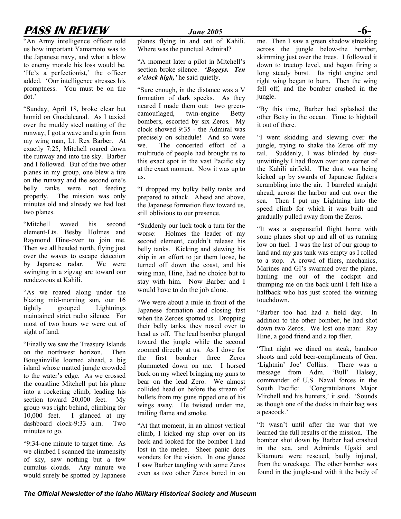# **PASS IN REVIEW** *June 2005* **-6-**

"An Army intelligence officer told us how important Yamamoto was to the Japanese navy, and what a blow to enemy morale his loss would be. 'He's a perfectionist,' the officer added. 'Our intelligence stresses his promptness. You must be on the dot.'

"Sunday, April 18, broke clear but humid on Guadalcanal. As I taxied over the muddy steel matting of the runway, I got a wave and a grin from my wing man, Lt. Rex Barber. At exactly 7:25, Mitchell roared down the runway and into the sky. Barber and I followed. But of the two other planes in my group, one blew a tire on the runway and the second one's belly tanks were not feeding properly. The mission was only minutes old and already we had lost two planes.

"Mitchell waved his second element-Lts. Besby Holmes and Raymond Hine-over to join me. Then we all headed north, flying just over the waves to escape detection by Japanese radar. We were swinging in a zigzag arc toward our rendezvous at Kahili.

"As we roared along under the blazing mid-morning sun, our 16 tightly grouped Lightnings maintained strict radio silence. For most of two hours we were out of sight of land.

"Finally we saw the Treasury Islands on the northwest horizon. Then Bougainville loomed ahead, a big island whose matted jungle crowded to the water's edge. As we crossed the coastline Mitchell put his plane into a rocketing climb, leading his section toward 20,000 feet. My group was right behind, climbing for 10,000 feet. I glanced at my dashboard clock-9:33 a.m. Two minutes to go.

"9:34-one minute to target time. As we climbed I scanned the immensity of sky, saw nothing but a few cumulus clouds. Any minute we would surely be spotted by Japanese

planes flying in and out of Kahili. Where was the punctual Admiral?

"A moment later a pilot in Mitchell's section broke silence. *'Bogeys. Ten o'clock high,'* he said quietly.

"Sure enough, in the distance was a V formation of dark specks. As they neared I made them out: two greencamouflaged, twin-engine Betty bombers, escorted by six Zeros*.* My clock showed 9:35 - the Admiral was precisely on schedule! And so were we. The concerted effort of a multitude of people had brought us to this exact spot in the vast Pacific sky at the exact moment. Now it was up to us.

"I dropped my bulky belly tanks and prepared to attack. Ahead and above, the Japanese formation flew toward us, still oblivious to our presence.

"Suddenly our luck took a turn for the worse: Holmes the leader of my second element, couldn't release his belly tanks. Kicking and slewing his ship in an effort to jar them loose, he turned off down the coast and his wing man, Hine, had no choice but to stay with him. Now Barber and I would have to do the job alone.

"We were about a mile in front of the Japanese formation and closing fast when the Zeroes spotted us. Dropping their belly tanks, they nosed over to head us off. The lead bomber plunged toward the jungle while the second zoomed directly at us. As I dove for the first bomber three Zeros plummeted down on me. I horsed back on my wheel bringing my guns to bear on the lead Zero. We almost collided head on before the stream of bullets from my guns ripped one of his wings away. He twisted under me, trailing flame and smoke.

"At that moment, in an almost vertical climb, I kicked my ship over on its back and looked for the bomber I had lost in the melee. Sheer panic does wonders for the vision. In one glance I saw Barber tangling with some Zeros even as two other Zeros bored in on

me. Then I saw a green shadow streaking across the jungle below-the bomber, skimming just over the trees. I followed it down to treetop level, and began firing a long steady burst. Its right engine and right wing began to burn. Then the wing fell off, and the bomber crashed in the jungle.

"By this time, Barber had splashed the other Betty in the ocean. Time to hightail it out of there.

"I went skidding and slewing over the jungle, trying to shake the Zeros off my tail. Suddenly, I was blinded by dustunwittingly I had flown over one corner of the Kahili airfield. The dust was being kicked up by swards of Japanese fighters scrambling into the air. I barreled straight ahead, across the harbor and out over the sea. Then I put my Lightning into the speed climb for which it was built and gradually pulled away from the Zeros.

"It was a suspenseful flight home with some planes shot up and all of us running low on fuel. I was the last of our group to land and my gas tank was empty as I rolled to a stop. A crowd of fliers, mechanics, Marines and GI's swarmed over the plane, hauling me out of the cockpit and thumping me on the back until I felt like a halfback who has just scored the winning touchdown.

"Barber too had had a field day. In addition to the other bomber, he had shot down two Zeros. We lost one man: Ray Hine, a good friend and a top flier.

"That night we dined on steak, bamboo shoots and cold beer-compliments of Gen. 'Lightnin' Joe' Collins. There was a message from Adm. 'Bull' Halsey, commander of U.S. Naval forces in the South Pacific: 'Congratulations Major Mitchell and his hunters,' it said. 'Sounds as though one of the ducks in their bag was a peacock.'

"It wasn't until after the war that we learned the full results of the mission. The bomber shot down by Barber had crashed in the sea, and Admirals Ugaki and Kitamura were rescued, badly injured, from the wreckage. The other bomber was found in the jungle-and with it the body of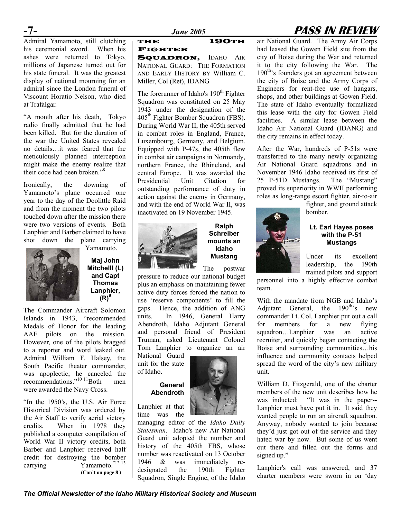# **-7-** *June 2005* **PASS IN REVIEW**

Admiral Yamamoto, still clutching his ceremonial sword. When his ashes were returned to Tokyo, millions of Japanese turned out for his state funeral. It was the greatest display of national mourning for an admiral since the London funeral of Viscount Horatio Nelson, who died at Trafalgar.

"A month after his death, Tokyo radio finally admitted that he had been killed. But for the duration of the war the United States revealed no details…it was feared that the meticulously planned interception might make the enemy realize that their code had been broken." [8](#page--1-7)

Ironically, the downing of Yamamoto's plane occurred one year to the day of the Doolittle Raid and from the moment the two pilots touched down after the mission there were two versions of events. Both Lanphier and Barber claimed to have shot down the plane carrying



Yamamoto.

**Maj John Mitchelll (L) and Capt Thomas Lanphier, (R) 9**

The Commander Aircraft Solomon Islands in 1943, "recommended Medals of Honor for the leading AAF pilots on the mission. However, one of the pilots bragged to a reporter and word leaked out. Admiral William F. Halsey, the South Pacific theater commander, was apoplectic; he canceled the recommendations."<sup>10 11</sup>Both men were awarded the Navy Cross.

"In the 1950's, the U.S. Air Force Historical Division was ordered by the Air Staff to verify aerial victory credits. When in 1978 they published a computer compilation of World War II victory credits, both Barber and Lanphier received half credit for destroying the bomber carrying Yamamoto.<sup>"[12](#page--1-10) 13</sup> **(Con't on page 8 )**

#### THE 190TH FIGHTER

SQUADRON, IDAHO AIR NATIONAL GUARD: THE FORMATION AND EARLY HISTORY BY William C. Miller, Col (Ret), IDANG

The forerunner of Idaho's 190<sup>th</sup> Fighter Squadron was constituted on 25 May 1943 under the designation of the 405<sup>th</sup> Fighter Bomber Squadron (FBS). During World War II, the 405th served in combat roles in England, France, Luxembourg, Germany, and Belgium. Equipped with P-47s, the 405th flew in combat air campaigns in Normandy, northern France, the Rhineland, and central Europe. It was awarded the Presidential Unit Citation for outstanding performance of duty in action against the enemy in Germany, and with the end of World War II, was inactivated on 19 November 1945.



**Ralph Schreiber mounts an Idaho Mustang** 

The postwar

pressure to reduce our national budget plus an emphasis on maintaining fewer active duty forces forced the nation to [us](#page--1-8)e 'reserve components' to fill the gaps. Hence, the addition of ANG units. In 1946, General Harry Abendroth, Idaho Adjutant General and personal friend of President Truman, asked Lieutenant Colonel Tom Lanphier to organize an air

National Guard unit for the state of Idaho.

### **General Abendroth**

Lanphier at that time was the

managing editor of the *Idaho Daily Statesman*. Idaho's new Air National Guard unit adopted the number and history of the 405th FBS, whose number was reactivated on 13 October 1946  $\&$  was immediately reimmediately redesignated the 190th Fighter Squadron, Single Engine, of the Idaho



After the War, hundreds of P-51s were transferred to the many newly organizing Air National Guard squadrons and in November 1946 Idaho received its first of 25 P-51D Mustangs. The "Mustang" proved its superiority in WWII performing roles as long-range escort fighter, air-to-air

> fighter, and ground attack bomber.

**Lt. Earl Hayes poses** 



**with the P-51 Mustangs** 

Under its excellent leadership, the 190th trained pilots and support

personnel into a highly effective combat team.

With the mandate from NGB and Idaho's Adjutant General, the  $190^{th}$ 's new commander Lt. Col. Lanphier put out a call for members for a new flying squadron…Lanphier was an active recruiter, and quickly began contacting the Boise and surrounding communities…his influence and community contacts helped spread the word of the city's new military unit.

William D. Fitzgerald, one of the charter members of the new unit describes how he was inducted: "It was in the paper-- Lanphier must have put it in. It said they wanted people to run an aircraft squadron. Anyway, nobody wanted to join because they'd just got out of the service and they hated war by now. But some of us went out there and filled out the forms and signed up."

Lanphier's call was answered, and 37 charter members were sworn in on 'day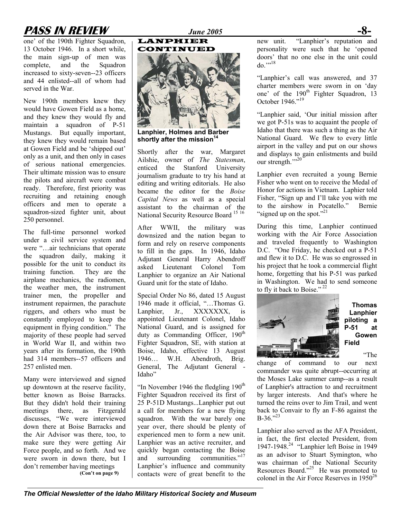# **PASS IN REVIEW** *June 2005* **-8-**

one' of the 190th Fighter Squadron, 13 October 1946. In a short while, the main sign-up of men was complete, and the Squadron increased to sixty-seven--23 officers and 44 enlisted--all of whom had served in the War.

New 190th members knew they would have Gowen Field as a home, and they knew they would fly and maintain a squadron of P-51 Mustangs. But equally important, they knew they would remain based at Gowen Field and be 'shipped out' only as a unit, and then only in cases of serious national emergencies. Their ultimate mission was to ensure the pilots and aircraft were combat ready. Therefore, first priority was recruiting and retaining enough officers and men to operate a squadron-sized fighter unit, about 250 personnel.

The full-time personnel worked under a civil service system and were "…air technicians that operate the squadron daily, making it possible for the unit to conduct its training function. They are the airplane mechanics, the radiomen, the weather men, the instrument trainer men, the propeller and instrument repairmen, the parachute riggers, and others who must be constantly employed to keep the equipment in flying condition." The majority of these people had served in World War II, and within two years after its formation, the 190th had 314 members--57 officers and 257 enlisted men.

Many were interviewed and signed up downtown at the reserve facility, better known as Boise Barracks. But they didn't hold their training meetings there, as Fitzgerald discusses, "We were interviewed down there at Boise Barracks and the Air Advisor was there, too, to make sure they were getting Air Force people, and so forth. And we were sworn in down there, but I don't remember having meetings **(Con't on page 9)**



LANPHIER

**Lanphier, Holmes and Barber**  shortly after the mission<sup>14</sup>

Shortly after the war, Margaret Ailshie, owner of *The Statesman*, enticed the Stanford University journalism graduate to try his hand at editing and writing editorials. He also became the editor for the *Boise Capital News* as well as a special assistant to the chairman of the National Security Resource Board<sup>[15](#page--1-12) [16](#page--1-12)</sup>

After WWII, the military was downsized and the nation began to form and rely on reserve components to fill in the gaps. In 1946, Idaho Adjutant General Harry Abendroff asked Lieutenant Colonel Tom Lanphier to organize an Air National Guard unit for the state of Idaho.

Special Order No 86, dated 15 August 1946 made it official, "…Thomas G. Lanphier, Jr., XXXXXXX, is appointed Lieutenant Colonel, Idaho National Guard, and is assigned for duty as Commanding Officer,  $190<sup>th</sup>$ Fighter Squadron, SE, with station at Boise, Idaho, effective 13 August 1946… W.H. Abendroth, Brig. General, The Adjutant General - Idaho"

"In November 1946 the fledgling  $190<sup>th</sup>$ Fighter Squadron received its first of 25 P-51D Mustangs...Lanphier put out a call for members for a new flying squadron. With the war barely one year over, there should be plenty of experienced men to form a new unit. Lanphier was an active recruiter, and quickly began contacting the Boise and surrounding communitie[s.](#page--1-13)"<sup>17</sup> Lanphier's influence and community contacts were of great benefit to the

new unit. "Lanphier's reputation and personality were such that he 'opened doors' that no one else in the unit could  $do$ <sup>"["18](#page--1-14)</sup>

"Lanphier's call was answered, and 37 charter members were sworn in on 'day one' of the 190<sup>th</sup> Fighter Squadron, 13 October [19](#page--1-15)46<sup>",19</sup>

"Lanphier said, 'Our initial mission after we got P-51s was to acquaint the people of Idaho that there was such a thing as the Air National Guard. We flew to every little airport in the valley and put on our shows and displays to gain enlistments and build our strength."<sup>[20](#page--1-16)</sup>

Lanphier even recruited a young Bernie Fisher who went on to receive the Medal of Honor for actions in Vietnam. Laphier told Fisher, "Sign up and I'll take you with me to the airshow in Pocatello." Bernie "signed up on the spot."<sup>[21](#page--1-17)</sup>

During this time, Lanphier continued working with the Air Force Association and traveled frequently to Washington D.C. "One Friday, he checked out a P-51 and flew it to D.C. He was so engrossed in his project that he took a commercial flight home, forgetting that his P-51 was parked in Washington. We had to send someone to fly it back to Boise."<sup>[22](#page--1-18)</sup>



**Thomas Lanphier piloting a P-51 at Gowen Field** 

"The

change of command to our next commander was quite abrupt--occurring at the Moses Lake summer camp--as a result of Lanphier's attraction to and recruitment by larger interests. And that's where he turned the reins over to Jim Trail, and went back to Convair to fly an F-86 against the  $B-36$ ."<sup>23</sup>

Lanphier also served as the AFA President, in fact, the first elected President, from 1947-1948. [24](#page--1-20) "Lanphier left Boise in 1949 as an advisor to Stuart Symington, who was chairman of the National Security Resources Board."<sup>25</sup> He was promoted to colonel in the Air Force Reserves in  $1950^{26}$  $1950^{26}$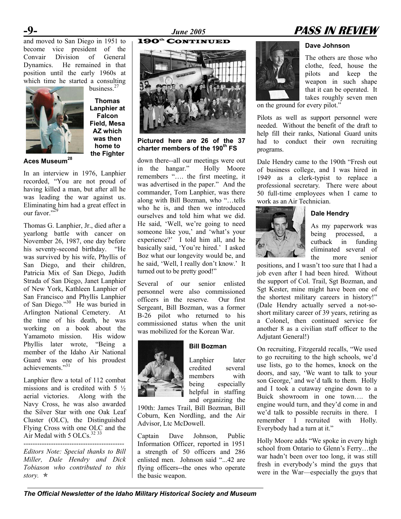and moved to San Diego in 1951 to become vice president of the Convair Division of General Dynamics. He remained in that position until the early 1960s at which time he started a consulting



business. [27](#page--1-23)  **Thomas Lanphier at Falcon Field, Mesa AZ which was then home to the Fighter** 

**Aces Museum[28](#page--1-24)**

In an interview in 1976, Lanphier recorded, "You are not proud of having killed a man, but after all he was leading the war against us. Eliminating him had a great effect in our favor.<sup>329</sup>

Thomas G. Lanphier, Jr., died after a yearlong battle with cancer on November 26, 1987, one day before his seventy-second birthday. "He was survived by his wife, Phyllis of San Diego, and their children, Patricia Mix of San Diego, Judith Strada of San Diego, Janet Lanphier of New York, Kathleen Lanphier of San Francisco and Phyllis Lanphier of San Diego." [30](#page--1-26) He was buried in Arlington National Cemetery. At the time of his death, he was working on a book about the Yamamoto mission. His widow Phyllis later wrote, "Being a member of the Idaho Air National Guard was one of his proudest achievements."[31](#page--1-27) 

Lanphier flew a total of 112 combat missions and is credited with  $5\frac{1}{2}$ aerial victories. Along with the Navy Cross, he was also awarded the Silver Star with one Oak Leaf Cluster (OLC), the Distinguished Flying Cross with one OLC and the Air Medal with 5 OLCs.  $32\frac{33}{1}$  $32\frac{33}{1}$ --------------------------------------------

*Editors Note: Special thanks to Bill Miller, Dale Hendry and Dick Tobiason who contributed to this story.* Õ

**Pictured here are 26 of the 37 charter members of the 190th FS** 

down there--all our meetings were out in the hangar." Holly Moore remembers "…. the first meeting, it was advertised in the paper." And the commander, Tom Lanphier, was there along with Bill Bozman, who "…tells who he is, and then we introduced ourselves and told him what we did. He said, 'Well, we're going to need someone like you,' and 'what's your experience?' I told him all, and he basically said, 'You're hired.' I asked Boz what our longevity would be, and he said, 'Well, I really don't know.' It turned out to be pretty good!"

Several of our senior enlisted personnel were also commissioned officers in the reserve. Our first Sergeant, Bill Bozman, was a former B-26 pilot who returned to his commissioned status when the unit was mobilized for the Korean War.



**Bill Bozman**

Lanphier later credited several members with being especially helpful in staffing and organizing the

190th: James Trail, Bill Bozman, Bill Coburn, Ken Nordling, and the Air Advisor, Ltc McDowell.

Captain Dave Johnson, Public Information Officer, reported in 1951 a strength of 50 officers and 286 enlisted men. Johnson said "...42 are flying officers--the ones who operate the basic weapon.

# **-9-** *June 2005* **PASS IN REVIEW**

## 190th CONTINUED **Dave Johnson**

The others are those who clothe, feed, house the pilots and keep the weapon in such shape that it can be operated. It takes roughly seven men

on the ground for every pilot."

Pilots as well as support personnel were needed. Without the benefit of the draft to help fill their ranks, National Guard units had to conduct their own recruiting programs.

Dale Hendry came to the 190th "Fresh out of business college, and I was hired in 1949 as a clerk-typist to replace a professional secretary. There were about 50 full-time employees when I came to work as an Air Technician.



**Dale Hendry**

As my paperwork was being processed, a cutback in funding eliminated several of the more senior

positions, and I wasn't too sure that I had a job even after I had been hired. Without the support of Col. Trail, Sgt Bozman, and Sgt Kester, mine might have been one of the shortest military careers in history!" (Dale Hendry actually served a not-soshort military career of 39 years, retiring as a Colonel, then continued service for another 8 as a civilian staff officer to the Adjutant General!)

On recruiting, Fitzgerald recalls, "We used to go recruiting to the high schools, we'd use lists, go to the homes, knock on the doors, and say, 'We want to talk to your son George,' and we'd talk to them. Holly and I took a cutaway engine down to a Buick showroom in one town…. the engine would turn, and they'd come in and we'd talk to possible recruits in there. I remember I recruited with Holly. Everybody had a turn at it."

Holly Moore adds "We spoke in every high school from Ontario to Glenn's Ferry…the war hadn't been over too long, it was still fresh in everybody's mind the guys that were in the War—especially the guys that

*The Official Newsletter of the Idaho Military Historical Society and Museum*